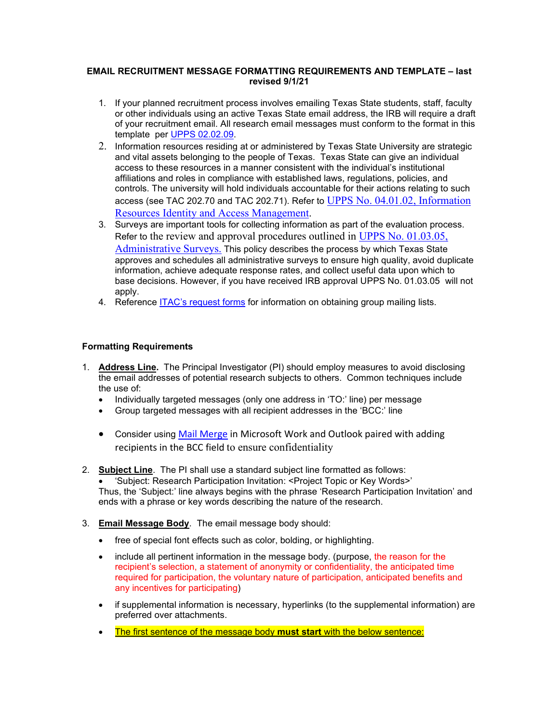## **EMAIL RECRUITMENT MESSAGE FORMATTING REQUIREMENTS AND TEMPLATE – last revised 9/1/21**

- 1. If your planned recruitment process involves emailing Texas State students, staff, faculty or other individuals using an active Texas State email address, the IRB will require a draft of your recruitment email. All research email messages must conform to the format in this template per [UPPS 02.02.09.](https://www.txstate.edu/research/orc/IRB-Resources/templates)
- 2. Information resources residing at or administered by Texas State University are strategic and vital assets belonging to the people of Texas. Texas State can give an individual access to these resources in a manner consistent with the individual's institutional affiliations and roles in compliance with established laws, regulations, policies, and controls. The university will hold individuals accountable for their actions relating to such access (see [TAC 202.70](http://texreg.sos.state.tx.us/public/readtac$ext.TacPage?sl=R&app=9&p_dir=&p_rloc=&p_tloc=&p_ploc=&pg=1&p_tac=&ti=1&pt=10&ch=202&rl=70) and [TAC 202.71\)](http://texreg.sos.state.tx.us/public/readtac$ext.TacPage?sl=R&app=9&p_dir=&p_rloc=&p_tloc=&p_ploc=&pg=1&p_tac=&ti=1&pt=10&ch=202&rl=71). Refer to [UPPS No. 04.01.02, Information](http://www.txstate.edu/effective/upps/upps-04-01-02.html)  [Resources Identity and Access Management.](http://www.txstate.edu/effective/upps/upps-04-01-02.html)
- 3. Surveys are important tools for collecting information as part of the evaluation process. Refer to the review and approval procedures outlined in UPPS No. 01.03.05, [Administrative Surveys.](http://www.txstate.edu/effective/upps/upps-01-03-05.html) This policy describes the process by which Texas State approves and schedules all administrative surveys to ensure high quality, avoid duplicate information, achieve adequate response rates, and collect useful data upon which to base decisions. However, if you have received IRB approval UPPS No. 01.03.05 will not apply.
- 4. Reference [ITAC's request forms](https://itac.txstate.edu/forms.html) for information on obtaining group mailing lists.

## **Formatting Requirements**

- 1. **Address Line.** The Principal Investigator (PI) should employ measures to avoid disclosing the email addresses of potential research subjects to others. Common techniques include the use of:
	- Individually targeted messages (only one address in 'TO:' line) per message
	- Group targeted messages with all recipient addresses in the 'BCC:' line
	- Consider using [Mail Merge](https://support.microsoft.com/en-us/office/use-mail-merge-to-send-bulk-email-messages-0f123521-20ce-4aa8-8b62-ac211dedefa4#BulkMail=Windows) in Microsoft Work and Outlook paired with adding recipients in the BCC field to ensure confidentiality
- 2. **Subject Line**. The PI shall use a standard subject line formatted as follows: • 'Subject: Research Participation Invitation: <Project Topic or Key Words>'
	- Thus, the 'Subject:' line always begins with the phrase 'Research Participation Invitation' and ends with a phrase or key words describing the nature of the research.
- 3. **Email Message Body**. The email message body should:
	- free of special font effects such as color, bolding, or highlighting.
	- include all pertinent information in the message body. (purpose, the reason for the recipient's selection, a statement of anonymity or confidentiality, the anticipated time required for participation, the voluntary nature of participation, anticipated benefits and any incentives for participating)
	- if supplemental information is necessary, hyperlinks (to the supplemental information) are preferred over attachments.
	- The first sentence of the message body **must start** with the below sentence: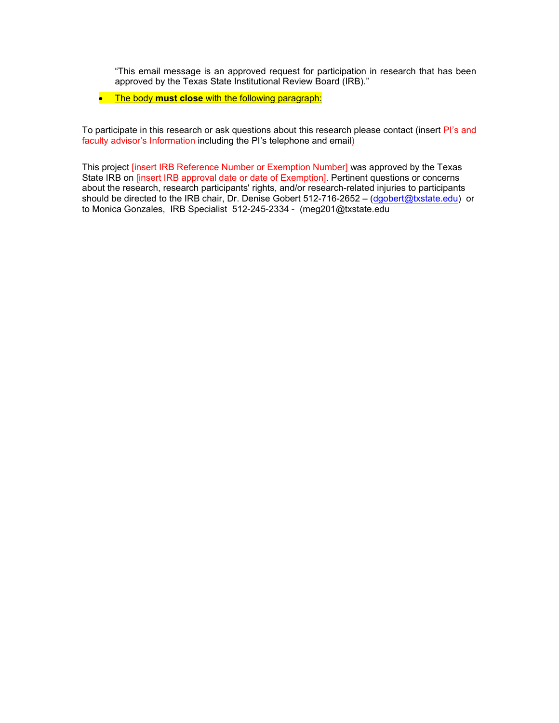"This email message is an approved request for participation in research that has been approved by the Texas State Institutional Review Board (IRB)."

• The body **must close** with the following paragraph:

To participate in this research or ask questions about this research please contact (insert Pl's and faculty advisor's Information including the PI's telephone and email)

This project [insert IRB Reference Number or Exemption Number] was approved by the Texas State IRB on [insert IRB approval date or date of Exemption]. Pertinent questions or concerns about the research, research participants' rights, and/or research-related injuries to participants should be directed to the IRB chair, Dr. Denise Gobert 512-716-2652 – [\(dgobert@txstate.edu\)](mailto:dgobert@txstate.edu) or to Monica Gonzales, IRB Specialist 512-245-2334 - (meg201@txstate.edu